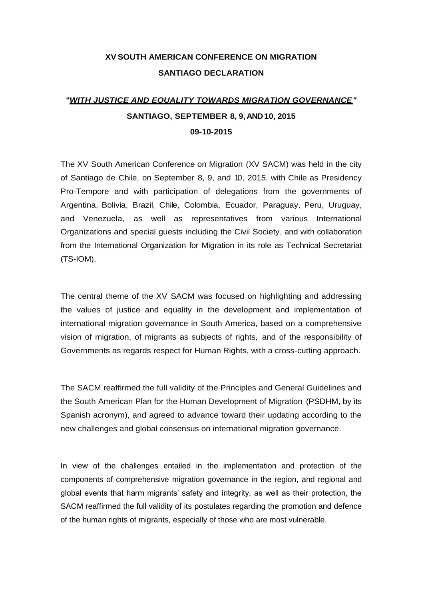## **XV SOUTH AMERICAN CONFERENCE ON MIGRATION SANTIAGO DECLARATION**

# *"WITH JUSTICE AND EQUALITY TOWARDS MIGRATION GOVERNANCE"* **SANTIAGO, SEPTEMBER 8, 9, AND 10, 2015 09-10-2015**

The XV South American Conference on Migration (XV SACM) was held in the city of Santiago de Chile, on September 8, 9, and 10, 2015, with Chile as Presidency Pro-Tempore and with participation of delegations from the governments of Argentina, Bolivia, Brazil, Chile, Colombia, Ecuador, Paraguay, Peru, Uruguay, and Venezuela, as well as representatives from various International Organizations and special guests including the Civil Society, and with collaboration from the International Organization for Migration in its role as Technical Secretariat (TS-IOM).

The central theme of the XV SACM was focused on highlighting and addressing the values of justice and equality in the development and implementation of international migration governance in South America, based on a comprehensive vision of migration, of migrants as subjects of rights, and of the responsibility of Governments as regards respect for Human Rights, with a cross-cutting approach.

The SACM reaffirmed the full validity of the Principles and General Guidelines and the South American Plan for the Human Development of Migration (PSDHM, by its Spanish acronym), and agreed to advance toward their updating according to the new challenges and global consensus on international migration governance.

In view of the challenges entailed in the implementation and protection of the components of comprehensive migration governance in the region, and regional and global events that harm migrants' safety and integrity, as well as their protection, the SACM reaffirmed the full validity of its postulates regarding the promotion and defence of the human rights of migrants, especially of those who are most vulnerable.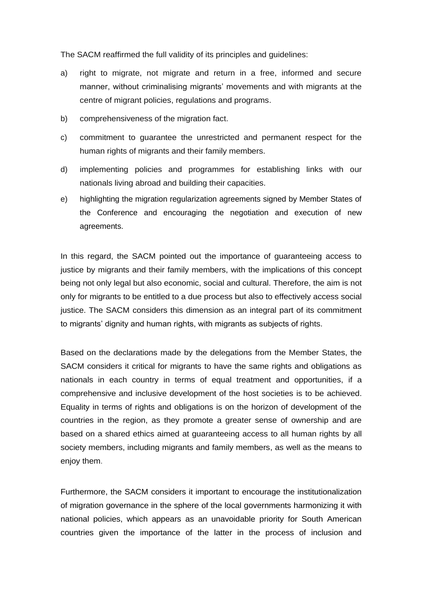The SACM reaffirmed the full validity of its principles and guidelines:

- a) right to migrate, not migrate and return in a free, informed and secure manner, without criminalising migrants' movements and with migrants at the centre of migrant policies, regulations and programs.
- b) comprehensiveness of the migration fact.
- c) commitment to guarantee the unrestricted and permanent respect for the human rights of migrants and their family members.
- d) implementing policies and programmes for establishing links with our nationals living abroad and building their capacities.
- e) highlighting the migration regularization agreements signed by Member States of the Conference and encouraging the negotiation and execution of new agreements.

In this regard, the SACM pointed out the importance of guaranteeing access to justice by migrants and their family members, with the implications of this concept being not only legal but also economic, social and cultural. Therefore, the aim is not only for migrants to be entitled to a due process but also to effectively access social justice. The SACM considers this dimension as an integral part of its commitment to migrants' dignity and human rights, with migrants as subjects of rights.

Based on the declarations made by the delegations from the Member States, the SACM considers it critical for migrants to have the same rights and obligations as nationals in each country in terms of equal treatment and opportunities, if a comprehensive and inclusive development of the host societies is to be achieved. Equality in terms of rights and obligations is on the horizon of development of the countries in the region, as they promote a greater sense of ownership and are based on a shared ethics aimed at guaranteeing access to all human rights by all society members, including migrants and family members, as well as the means to enjoy them.

Furthermore, the SACM considers it important to encourage the institutionalization of migration governance in the sphere of the local governments harmonizing it with national policies, which appears as an unavoidable priority for South American countries given the importance of the latter in the process of inclusion and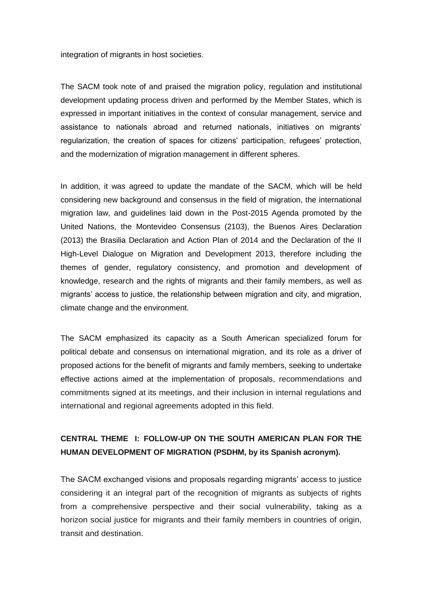integration of migrants in host societies.

The SACM took note of and praised the migration policy, regulation and institutional development updating process driven and performed by the Member States, which is expressed in important initiatives in the context of consular management, service and assistance to nationals abroad and returned nationals, initiatives on migrants' regularization, the creation of spaces for citizens' participation, refugees' protection, and the modernization of migration management in different spheres.

In addition, it was agreed to update the mandate of the SACM, which will be held considering new background and consensus in the field of migration, the international migration law, and guidelines laid down in the Post-2015 Agenda promoted by the United Nations, the Montevideo Consensus (2103), the Buenos Aires Declaration (2013) the Brasilia Declaration and Action Plan of 2014 and the Declaration of the II High-Level Dialogue on Migration and Development 2013, therefore including the themes of gender, regulatory consistency, and promotion and development of knowledge, research and the rights of migrants and their family members, as well as migrants' access to justice, the relationship between migration and city, and migration, climate change and the environment.

The SACM emphasized its capacity as a South American specialized forum for political debate and consensus on international migration, and its role as a driver of proposed actions for the benefit of migrants and family members, seeking to undertake effective actions aimed at the implementation of proposals, recommendations and commitments signed at its meetings, and their inclusion in internal regulations and international and regional agreements adopted in this field.

### **CENTRAL THEME I: FOLLOW-UP ON THE SOUTH AMERICAN PLAN FOR THE HUMAN DEVELOPMENT OF MIGRATION (PSDHM, by its Spanish acronym).**

The SACM exchanged visions and proposals regarding migrants' access to justice considering it an integral part of the recognition of migrants as subjects of rights from a comprehensive perspective and their social vulnerability, taking as a horizon social justice for migrants and their family members in countries of origin, transit and destination.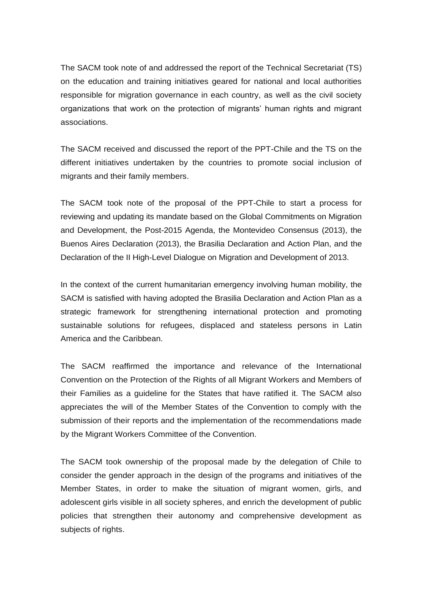The SACM took note of and addressed the report of the Technical Secretariat (TS) on the education and training initiatives geared for national and local authorities responsible for migration governance in each country, as well as the civil society organizations that work on the protection of migrants' human rights and migrant associations.

The SACM received and discussed the report of the PPT-Chile and the TS on the different initiatives undertaken by the countries to promote social inclusion of migrants and their family members.

The SACM took note of the proposal of the PPT-Chile to start a process for reviewing and updating its mandate based on the Global Commitments on Migration and Development, the Post-2015 Agenda, the Montevideo Consensus (2013), the Buenos Aires Declaration (2013), the Brasilia Declaration and Action Plan, and the Declaration of the II High-Level Dialogue on Migration and Development of 2013.

In the context of the current humanitarian emergency involving human mobility, the SACM is satisfied with having adopted the Brasilia Declaration and Action Plan as a strategic framework for strengthening international protection and promoting sustainable solutions for refugees, displaced and stateless persons in Latin America and the Caribbean.

The SACM reaffirmed the importance and relevance of the International Convention on the Protection of the Rights of all Migrant Workers and Members of their Families as a guideline for the States that have ratified it. The SACM also appreciates the will of the Member States of the Convention to comply with the submission of their reports and the implementation of the recommendations made by the Migrant Workers Committee of the Convention.

The SACM took ownership of the proposal made by the delegation of Chile to consider the gender approach in the design of the programs and initiatives of the Member States, in order to make the situation of migrant women, girls, and adolescent girls visible in all society spheres, and enrich the development of public policies that strengthen their autonomy and comprehensive development as subjects of rights.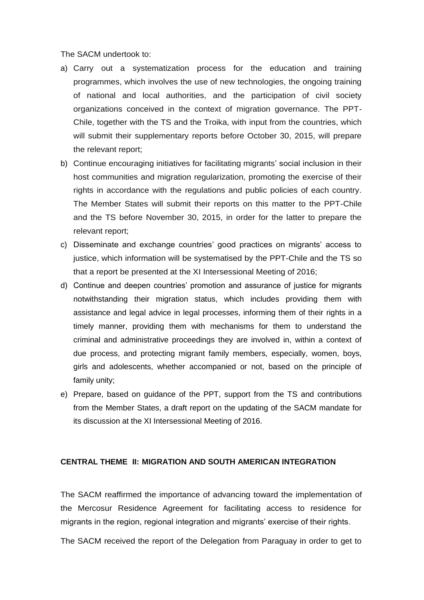The SACM undertook to:

- a) Carry out a systematization process for the education and training programmes, which involves the use of new technologies, the ongoing training of national and local authorities, and the participation of civil society organizations conceived in the context of migration governance. The PPT-Chile, together with the TS and the Troika, with input from the countries, which will submit their supplementary reports before October 30, 2015, will prepare the relevant report;
- b) Continue encouraging initiatives for facilitating migrants' social inclusion in their host communities and migration regularization, promoting the exercise of their rights in accordance with the regulations and public policies of each country. The Member States will submit their reports on this matter to the PPT-Chile and the TS before November 30, 2015, in order for the latter to prepare the relevant report;
- c) Disseminate and exchange countries' good practices on migrants' access to justice, which information will be systematised by the PPT-Chile and the TS so that a report be presented at the XI Intersessional Meeting of 2016;
- d) Continue and deepen countries' promotion and assurance of justice for migrants notwithstanding their migration status, which includes providing them with assistance and legal advice in legal processes, informing them of their rights in a timely manner, providing them with mechanisms for them to understand the criminal and administrative proceedings they are involved in, within a context of due process, and protecting migrant family members, especially, women, boys, girls and adolescents, whether accompanied or not, based on the principle of family unity;
- e) Prepare, based on guidance of the PPT, support from the TS and contributions from the Member States, a draft report on the updating of the SACM mandate for its discussion at the XI Intersessional Meeting of 2016.

#### **CENTRAL THEME II: MIGRATION AND SOUTH AMERICAN INTEGRATION**

The SACM reaffirmed the importance of advancing toward the implementation of the Mercosur Residence Agreement for facilitating access to residence for migrants in the region, regional integration and migrants' exercise of their rights.

The SACM received the report of the Delegation from Paraguay in order to get to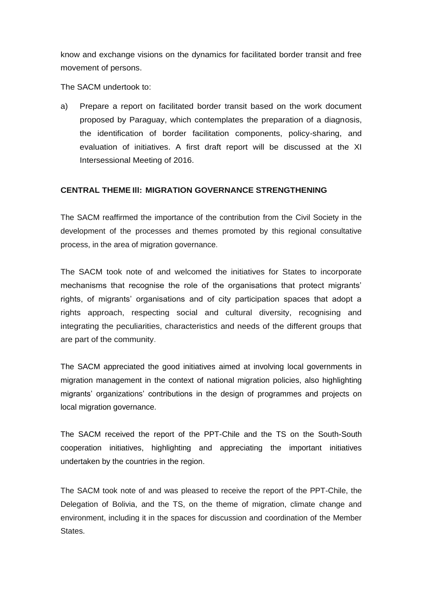know and exchange visions on the dynamics for facilitated border transit and free movement of persons.

The SACM undertook to:

a) Prepare a report on facilitated border transit based on the work document proposed by Paraguay, which contemplates the preparation of a diagnosis, the identification of border facilitation components, policy-sharing, and evaluation of initiatives. A first draft report will be discussed at the XI Intersessional Meeting of 2016.

### **CENTRAL THEME Ill: MIGRATION GOVERNANCE STRENGTHENING**

The SACM reaffirmed the importance of the contribution from the Civil Society in the development of the processes and themes promoted by this regional consultative process, in the area of migration governance.

The SACM took note of and welcomed the initiatives for States to incorporate mechanisms that recognise the role of the organisations that protect migrants' rights, of migrants' organisations and of city participation spaces that adopt a rights approach, respecting social and cultural diversity, recognising and integrating the peculiarities, characteristics and needs of the different groups that are part of the community.

The SACM appreciated the good initiatives aimed at involving local governments in migration management in the context of national migration policies, also highlighting migrants' organizations' contributions in the design of programmes and projects on local migration governance.

The SACM received the report of the PPT-Chile and the TS on the South-South cooperation initiatives, highlighting and appreciating the important initiatives undertaken by the countries in the region.

The SACM took note of and was pleased to receive the report of the PPT-Chile, the Delegation of Bolivia, and the TS, on the theme of migration, climate change and environment, including it in the spaces for discussion and coordination of the Member States.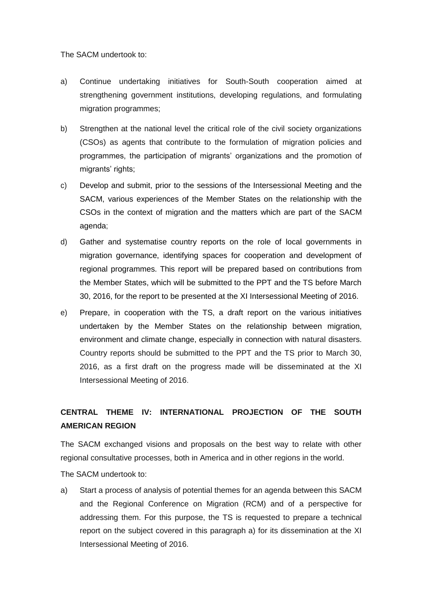The SACM undertook to:

- a) Continue undertaking initiatives for South-South cooperation aimed at strengthening government institutions, developing regulations, and formulating migration programmes;
- b) Strengthen at the national level the critical role of the civil society organizations (CSOs) as agents that contribute to the formulation of migration policies and programmes, the participation of migrants' organizations and the promotion of migrants' rights;
- c) Develop and submit, prior to the sessions of the Intersessional Meeting and the SACM, various experiences of the Member States on the relationship with the CSOs in the context of migration and the matters which are part of the SACM agenda;
- d) Gather and systematise country reports on the role of local governments in migration governance, identifying spaces for cooperation and development of regional programmes. This report will be prepared based on contributions from the Member States, which will be submitted to the PPT and the TS before March 30, 2016, for the report to be presented at the XI Intersessional Meeting of 2016.
- e) Prepare, in cooperation with the TS, a draft report on the various initiatives undertaken by the Member States on the relationship between migration, environment and climate change, especially in connection with natural disasters. Country reports should be submitted to the PPT and the TS prior to March 30, 2016, as a first draft on the progress made will be disseminated at the XI Intersessional Meeting of 2016.

## **CENTRAL THEME IV: INTERNATIONAL PROJECTION OF THE SOUTH AMERICAN REGION**

The SACM exchanged visions and proposals on the best way to relate with other regional consultative processes, both in America and in other regions in the world.

The SACM undertook to:

a) Start a process of analysis of potential themes for an agenda between this SACM and the Regional Conference on Migration (RCM) and of a perspective for addressing them. For this purpose, the TS is requested to prepare a technical report on the subject covered in this paragraph a) for its dissemination at the XI Intersessional Meeting of 2016.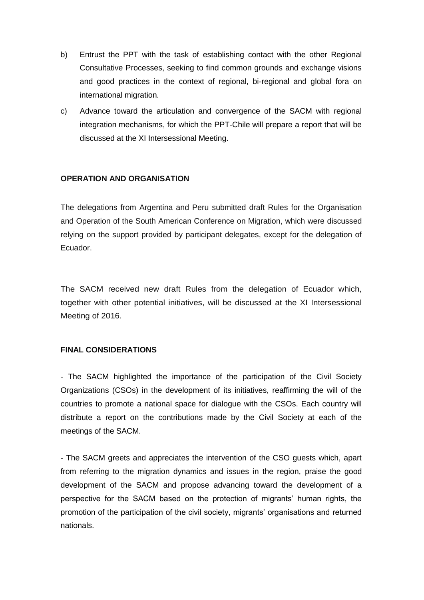- b) Entrust the PPT with the task of establishing contact with the other Regional Consultative Processes, seeking to find common grounds and exchange visions and good practices in the context of regional, bi-regional and global fora on international migration.
- c) Advance toward the articulation and convergence of the SACM with regional integration mechanisms, for which the PPT-Chile will prepare a report that will be discussed at the XI Intersessional Meeting.

### **OPERATION AND ORGANISATION**

The delegations from Argentina and Peru submitted draft Rules for the Organisation and Operation of the South American Conference on Migration, which were discussed relying on the support provided by participant delegates, except for the delegation of Ecuador.

The SACM received new draft Rules from the delegation of Ecuador which, together with other potential initiatives, will be discussed at the XI Intersessional Meeting of 2016.

#### **FINAL CONSIDERATIONS**

- The SACM highlighted the importance of the participation of the Civil Society Organizations (CSOs) in the development of its initiatives, reaffirming the will of the countries to promote a national space for dialogue with the CSOs. Each country will distribute a report on the contributions made by the Civil Society at each of the meetings of the SACM.

- The SACM greets and appreciates the intervention of the CSO guests which, apart from referring to the migration dynamics and issues in the region, praise the good development of the SACM and propose advancing toward the development of a perspective for the SACM based on the protection of migrants' human rights, the promotion of the participation of the civil society, migrants' organisations and returned nationals.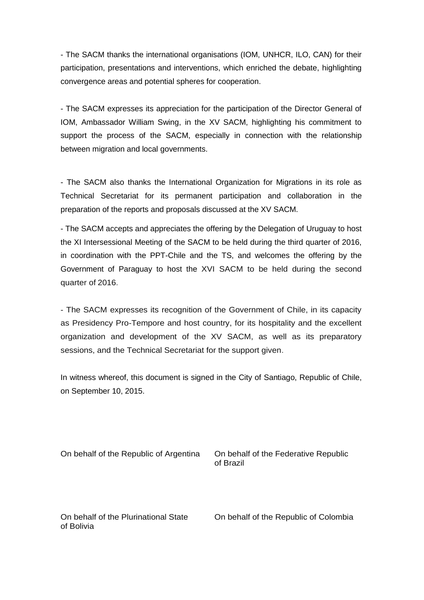- The SACM thanks the international organisations (IOM, UNHCR, ILO, CAN) for their participation, presentations and interventions, which enriched the debate, highlighting convergence areas and potential spheres for cooperation.

- The SACM expresses its appreciation for the participation of the Director General of IOM, Ambassador William Swing, in the XV SACM, highlighting his commitment to support the process of the SACM, especially in connection with the relationship between migration and local governments.

- The SACM also thanks the International Organization for Migrations in its role as Technical Secretariat for its permanent participation and collaboration in the preparation of the reports and proposals discussed at the XV SACM.

- The SACM accepts and appreciates the offering by the Delegation of Uruguay to host the XI Intersessional Meeting of the SACM to be held during the third quarter of 2016, in coordination with the PPT-Chile and the TS, and welcomes the offering by the Government of Paraguay to host the XVI SACM to be held during the second quarter of 2016.

- The SACM expresses its recognition of the Government of Chile, in its capacity as Presidency Pro-Tempore and host country, for its hospitality and the excellent organization and development of the XV SACM, as well as its preparatory sessions, and the Technical Secretariat for the support given.

In witness whereof, this document is signed in the City of Santiago, Republic of Chile, on September 10, 2015.

On behalf of the Republic of Argentina On behalf of the Federative Republic

of Brazil

On behalf of the Plurinational State On behalf of the Republic of Colombia of Bolivia